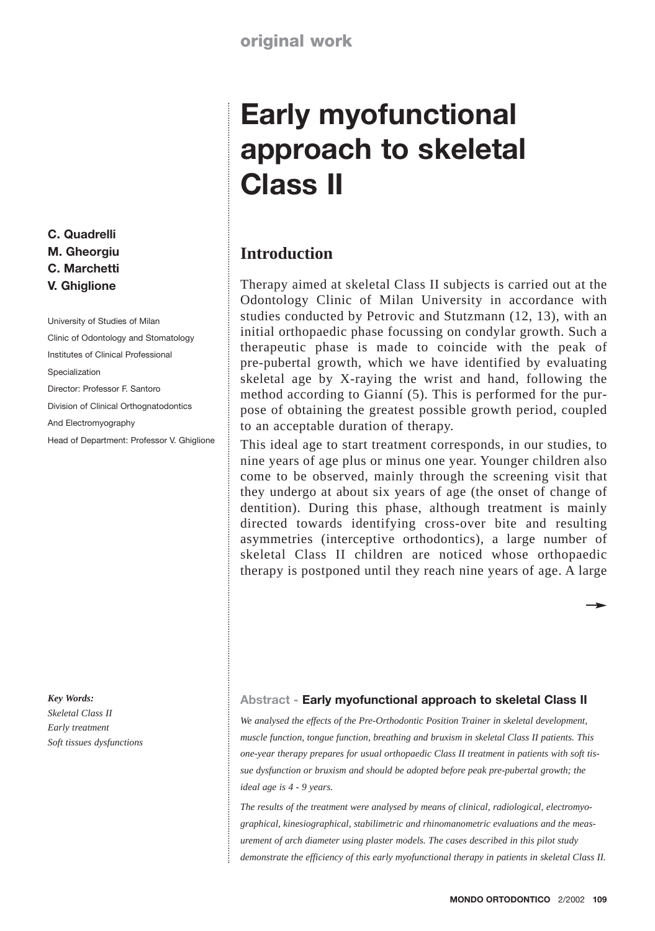# **Early myofunctional approach to skeletal Class II**

# **Introduction**

Therapy aimed at skeletal Class II subjects is carried out at the Odontology Clinic of Milan University in accordance with studies conducted by Petrovic and Stutzmann (12, 13), with an initial orthopaedic phase focussing on condylar growth. Such a therapeutic phase is made to coincide with the peak of pre-pubertal growth, which we have identified by evaluating skeletal age by X-raying the wrist and hand, following the method according to Gianní (5). This is performed for the purpose of obtaining the greatest possible growth period, coupled to an acceptable duration of therapy.

This ideal age to start treatment corresponds, in our studies, to nine years of age plus or minus one year. Younger children also come to be observed, mainly through the screening visit that they undergo at about six years of age (the onset of change of dentition). During this phase, although treatment is mainly directed towards identifying cross-over bite and resulting asymmetries (interceptive orthodontics), a large number of skeletal Class II children are noticed whose orthopaedic therapy is postponed until they reach nine years of age. A large

#### *Key Words:*

**C. Quadrelli M. Gheorgiu C. Marchetti V. Ghiglione**

Specialization

University of Studies of Milan Clinic of Odontology and Stomatology Institutes of Clinical Professional

Director: Professor F. Santoro Division of Clinical Orthognatodontics

Head of Department: Professor V. Ghiglione

And Electromyography

*Skeletal Class II Early treatment Soft tissues dysfunctions*

#### **Abstract - Early myofunctional approach to skeletal Class II**

*We analysed the effects of the Pre-Orthodontic Position Trainer in skeletal development, muscle function, tongue function, breathing and bruxism in skeletal Class II patients. This one-year therapy prepares for usual orthopaedic Class II treatment in patients with soft tissue dysfunction or bruxism and should be adopted before peak pre-pubertal growth; the ideal age is 4 - 9 years.*

*The results of the treatment were analysed by means of clinical, radiological, electromyographical, kinesiographical, stabilimetric and rhinomanometric evaluations and the measurement of arch diameter using plaster models. The cases described in this pilot study demonstrate the efficiency of this early myofunctional therapy in patients in skeletal Class II.*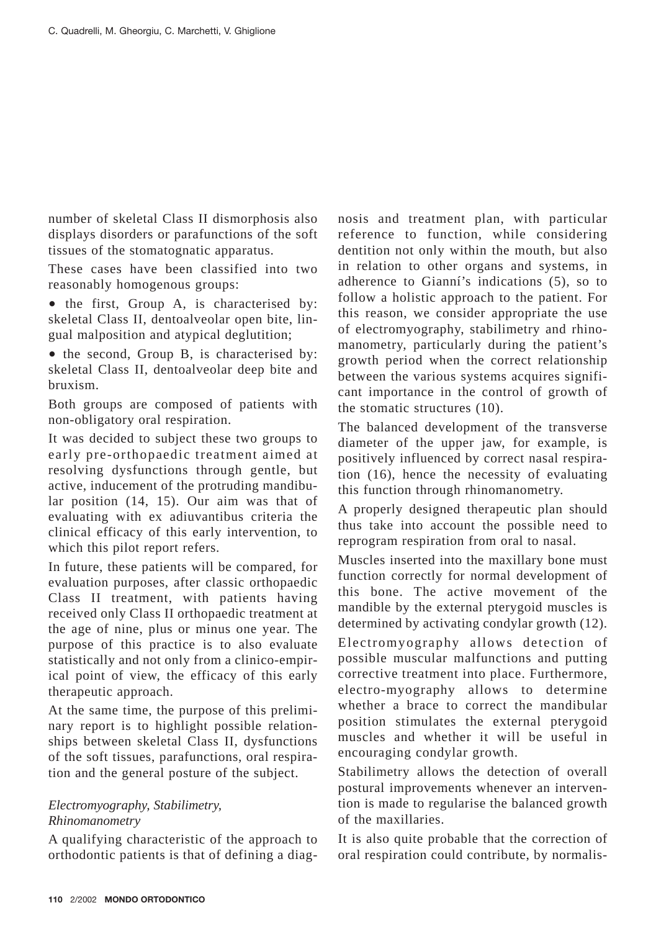number of skeletal Class II dismorphosis also displays disorders or parafunctions of the soft tissues of the stomatognatic apparatus.

These cases have been classified into two reasonably homogenous groups:

• the first, Group A, is characterised by: skeletal Class II, dentoalveolar open bite, lingual malposition and atypical deglutition;

• the second, Group B, is characterised by: skeletal Class II, dentoalveolar deep bite and bruxism.

Both groups are composed of patients with non-obligatory oral respiration.

It was decided to subject these two groups to early pre-orthopaedic treatment aimed at resolving dysfunctions through gentle, but active, inducement of the protruding mandibular position (14, 15). Our aim was that of evaluating with ex adiuvantibus criteria the clinical efficacy of this early intervention, to which this pilot report refers.

In future, these patients will be compared, for evaluation purposes, after classic orthopaedic Class II treatment, with patients having received only Class II orthopaedic treatment at the age of nine, plus or minus one year. The purpose of this practice is to also evaluate statistically and not only from a clinico-empirical point of view, the efficacy of this early therapeutic approach.

At the same time, the purpose of this preliminary report is to highlight possible relationships between skeletal Class II, dysfunctions of the soft tissues, parafunctions, oral respiration and the general posture of the subject.

## *Electromyography, Stabilimetry, Rhinomanometry*

A qualifying characteristic of the approach to orthodontic patients is that of defining a diagnosis and treatment plan, with particular reference to function, while considering dentition not only within the mouth, but also in relation to other organs and systems, in adherence to Gianní's indications (5), so to follow a holistic approach to the patient. For this reason, we consider appropriate the use of electromyography, stabilimetry and rhinomanometry, particularly during the patient's growth period when the correct relationship between the various systems acquires significant importance in the control of growth of the stomatic structures (10).

The balanced development of the transverse diameter of the upper jaw, for example, is positively influenced by correct nasal respiration (16), hence the necessity of evaluating this function through rhinomanometry.

A properly designed therapeutic plan should thus take into account the possible need to reprogram respiration from oral to nasal.

Muscles inserted into the maxillary bone must function correctly for normal development of this bone. The active movement of the mandible by the external pterygoid muscles is determined by activating condylar growth (12).

Electromyography allows detection of possible muscular malfunctions and putting corrective treatment into place. Furthermore, electro-myography allows to determine whether a brace to correct the mandibular position stimulates the external pterygoid muscles and whether it will be useful in encouraging condylar growth.

Stabilimetry allows the detection of overall postural improvements whenever an intervention is made to regularise the balanced growth of the maxillaries.

It is also quite probable that the correction of oral respiration could contribute, by normalis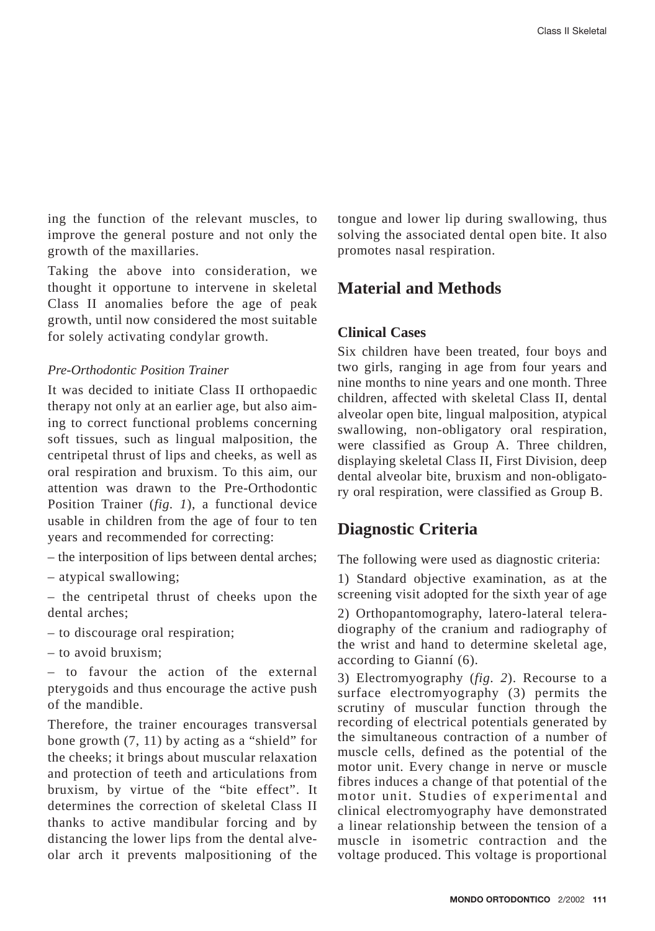ing the function of the relevant muscles, to improve the general posture and not only the growth of the maxillaries.

Taking the above into consideration, we thought it opportune to intervene in skeletal Class II anomalies before the age of peak growth, until now considered the most suitable for solely activating condylar growth.

#### *Pre-Orthodontic Position Trainer*

It was decided to initiate Class II orthopaedic therapy not only at an earlier age, but also aiming to correct functional problems concerning soft tissues, such as lingual malposition, the centripetal thrust of lips and cheeks, as well as oral respiration and bruxism. To this aim, our attention was drawn to the Pre-Orthodontic Position Trainer (*fig. 1*), a functional device usable in children from the age of four to ten years and recommended for correcting:

- the interposition of lips between dental arches;
- atypical swallowing;

– the centripetal thrust of cheeks upon the dental arches;

- to discourage oral respiration;
- to avoid bruxism;

– to favour the action of the external pterygoids and thus encourage the active push of the mandible.

Therefore, the trainer encourages transversal bone growth (7, 11) by acting as a "shield" for the cheeks; it brings about muscular relaxation and protection of teeth and articulations from bruxism, by virtue of the "bite effect". It determines the correction of skeletal Class II thanks to active mandibular forcing and by distancing the lower lips from the dental alveolar arch it prevents malpositioning of the tongue and lower lip during swallowing, thus solving the associated dental open bite. It also promotes nasal respiration.

# **Material and Methods**

## **Clinical Cases**

Six children have been treated, four boys and two girls, ranging in age from four years and nine months to nine years and one month. Three children, affected with skeletal Class II, dental alveolar open bite, lingual malposition, atypical swallowing, non-obligatory oral respiration, were classified as Group A. Three children, displaying skeletal Class II, First Division, deep dental alveolar bite, bruxism and non-obligatory oral respiration, were classified as Group B.

# **Diagnostic Criteria**

The following were used as diagnostic criteria:

1) Standard objective examination, as at the screening visit adopted for the sixth year of age

2) Orthopantomography, latero-lateral teleradiography of the cranium and radiography of the wrist and hand to determine skeletal age, according to Gianní (6).

3) Electromyography (*fig. 2*). Recourse to a surface electromyography (3) permits the scrutiny of muscular function through the recording of electrical potentials generated by the simultaneous contraction of a number of muscle cells, defined as the potential of the motor unit. Every change in nerve or muscle fibres induces a change of that potential of the motor unit. Studies of experimental and clinical electromyography have demonstrated a linear relationship between the tension of a muscle in isometric contraction and the voltage produced. This voltage is proportional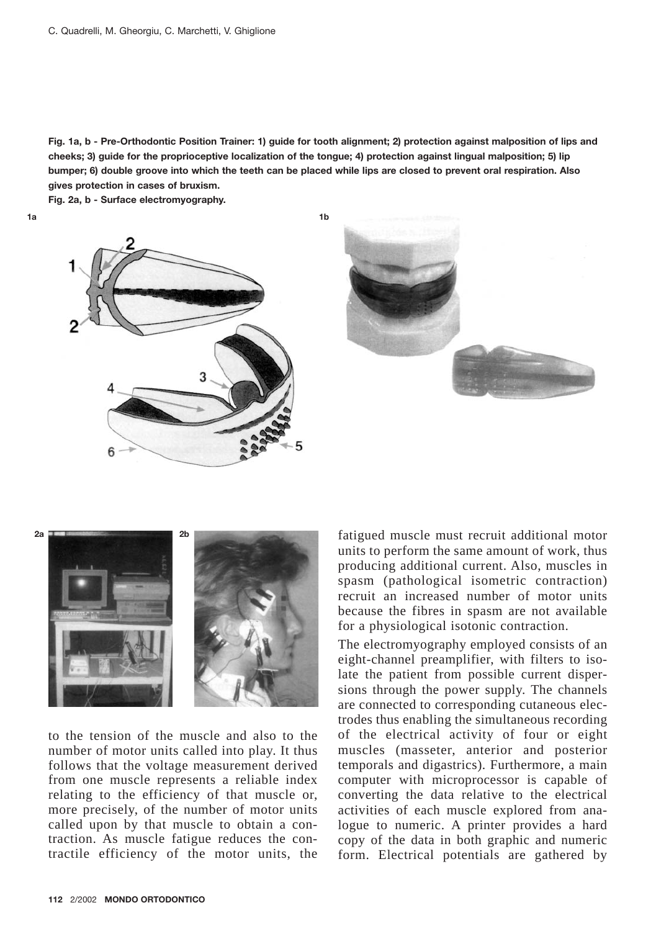**Fig. 1a, b - Pre-Orthodontic Position Trainer: 1) guide for tooth alignment; 2) protection against malposition of lips and cheeks; 3) guide for the proprioceptive localization of the tongue; 4) protection against lingual malposition; 5) lip bumper; 6) double groove into which the teeth can be placed while lips are closed to prevent oral respiration. Also gives protection in cases of bruxism.**

**Fig. 2a, b - Surface electromyography.**







to the tension of the muscle and also to the number of motor units called into play. It thus follows that the voltage measurement derived from one muscle represents a reliable index relating to the efficiency of that muscle or, more precisely, of the number of motor units called upon by that muscle to obtain a contraction. As muscle fatigue reduces the contractile efficiency of the motor units, the

fatigued muscle must recruit additional motor units to perform the same amount of work, thus producing additional current. Also, muscles in spasm (pathological isometric contraction) recruit an increased number of motor units because the fibres in spasm are not available for a physiological isotonic contraction.

The electromyography employed consists of an eight-channel preamplifier, with filters to isolate the patient from possible current dispersions through the power supply. The channels are connected to corresponding cutaneous electrodes thus enabling the simultaneous recording of the electrical activity of four or eight muscles (masseter, anterior and posterior temporals and digastrics). Furthermore, a main computer with microprocessor is capable of converting the data relative to the electrical activities of each muscle explored from analogue to numeric. A printer provides a hard copy of the data in both graphic and numeric form. Electrical potentials are gathered by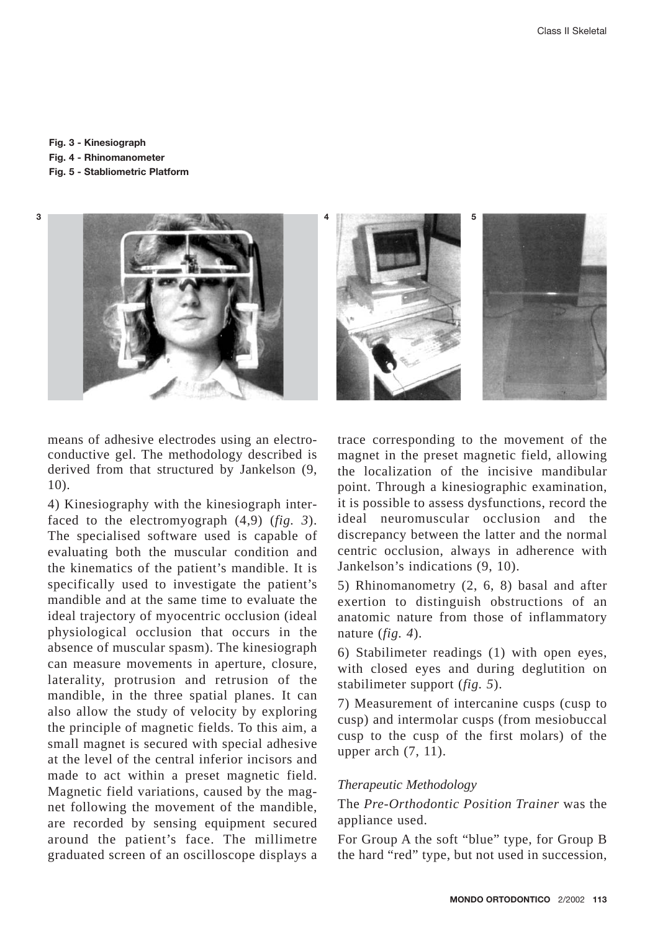#### **Fig. 3 - Kinesiograph**

**Fig. 4 - Rhinomanometer**

**Fig. 5 - Stabliometric Platform**



means of adhesive electrodes using an electroconductive gel. The methodology described is derived from that structured by Jankelson (9, 10).

4) Kinesiography with the kinesiograph interfaced to the electromyograph (4,9) (*fig. 3*). The specialised software used is capable of evaluating both the muscular condition and the kinematics of the patient's mandible. It is specifically used to investigate the patient's mandible and at the same time to evaluate the ideal trajectory of myocentric occlusion (ideal physiological occlusion that occurs in the absence of muscular spasm). The kinesiograph can measure movements in aperture, closure, laterality, protrusion and retrusion of the mandible, in the three spatial planes. It can also allow the study of velocity by exploring the principle of magnetic fields. To this aim, a small magnet is secured with special adhesive at the level of the central inferior incisors and made to act within a preset magnetic field. Magnetic field variations, caused by the magnet following the movement of the mandible, are recorded by sensing equipment secured around the patient's face. The millimetre graduated screen of an oscilloscope displays a



trace corresponding to the movement of the magnet in the preset magnetic field, allowing the localization of the incisive mandibular point. Through a kinesiographic examination, it is possible to assess dysfunctions, record the ideal neuromuscular occlusion and the discrepancy between the latter and the normal centric occlusion, always in adherence with Jankelson's indications (9, 10).

5) Rhinomanometry (2, 6, 8) basal and after exertion to distinguish obstructions of an anatomic nature from those of inflammatory nature (*fig. 4*).

6) Stabilimeter readings (1) with open eyes, with closed eyes and during deglutition on stabilimeter support (*fig. 5*).

7) Measurement of intercanine cusps (cusp to cusp) and intermolar cusps (from mesiobuccal cusp to the cusp of the first molars) of the upper arch (7, 11).

#### *Therapeutic Methodology*

The *Pre-Orthodontic Position Trainer* was the appliance used.

For Group A the soft "blue" type, for Group B the hard "red" type, but not used in succession,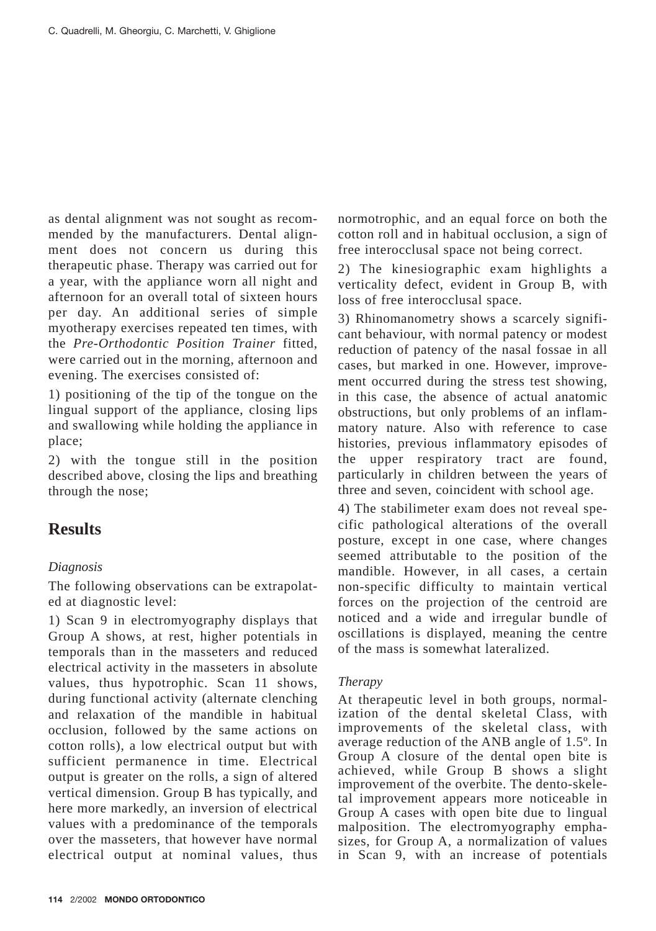as dental alignment was not sought as recommended by the manufacturers. Dental alignment does not concern us during this therapeutic phase. Therapy was carried out for a year, with the appliance worn all night and afternoon for an overall total of sixteen hours per day. An additional series of simple myotherapy exercises repeated ten times, with the *Pre-Orthodontic Position Trainer* fitted, were carried out in the morning, afternoon and evening. The exercises consisted of:

1) positioning of the tip of the tongue on the lingual support of the appliance, closing lips and swallowing while holding the appliance in place;

2) with the tongue still in the position described above, closing the lips and breathing through the nose;

# **Results**

## *Diagnosis*

The following observations can be extrapolated at diagnostic level:

1) Scan 9 in electromyography displays that Group A shows, at rest, higher potentials in temporals than in the masseters and reduced electrical activity in the masseters in absolute values, thus hypotrophic. Scan 11 shows, during functional activity (alternate clenching and relaxation of the mandible in habitual occlusion, followed by the same actions on cotton rolls), a low electrical output but with sufficient permanence in time. Electrical output is greater on the rolls, a sign of altered vertical dimension. Group B has typically, and here more markedly, an inversion of electrical values with a predominance of the temporals over the masseters, that however have normal electrical output at nominal values, thus

normotrophic, and an equal force on both the cotton roll and in habitual occlusion, a sign of free interocclusal space not being correct.

2) The kinesiographic exam highlights a verticality defect, evident in Group B, with loss of free interocclusal space.

3) Rhinomanometry shows a scarcely significant behaviour, with normal patency or modest reduction of patency of the nasal fossae in all cases, but marked in one. However, improvement occurred during the stress test showing, in this case, the absence of actual anatomic obstructions, but only problems of an inflammatory nature. Also with reference to case histories, previous inflammatory episodes of the upper respiratory tract are found, particularly in children between the years of three and seven, coincident with school age.

4) The stabilimeter exam does not reveal specific pathological alterations of the overall posture, except in one case, where changes seemed attributable to the position of the mandible. However, in all cases, a certain non-specific difficulty to maintain vertical forces on the projection of the centroid are noticed and a wide and irregular bundle of oscillations is displayed, meaning the centre of the mass is somewhat lateralized.

## *Therapy*

At therapeutic level in both groups, normalization of the dental skeletal Class, with improvements of the skeletal class, with average reduction of the ANB angle of 1.5º. In Group A closure of the dental open bite is achieved, while Group B shows a slight improvement of the overbite. The dento-skeletal improvement appears more noticeable in Group A cases with open bite due to lingual malposition. The electromyography emphasizes, for Group A, a normalization of values in Scan 9, with an increase of potentials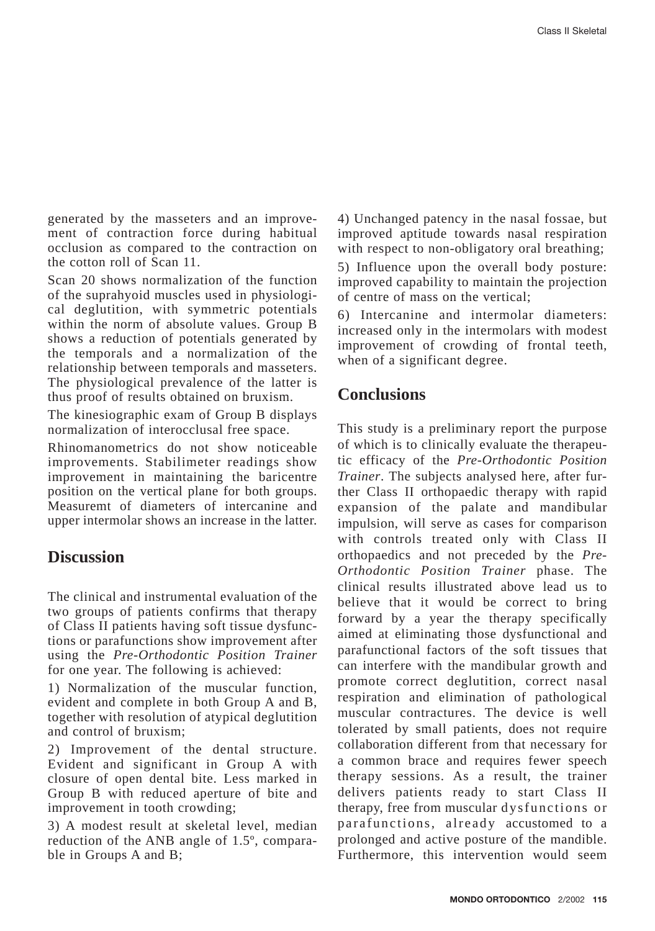generated by the masseters and an improvement of contraction force during habitual occlusion as compared to the contraction on the cotton roll of Scan 11.

Scan 20 shows normalization of the function of the suprahyoid muscles used in physiological deglutition, with symmetric potentials within the norm of absolute values. Group B shows a reduction of potentials generated by the temporals and a normalization of the relationship between temporals and masseters. The physiological prevalence of the latter is thus proof of results obtained on bruxism.

The kinesiographic exam of Group B displays normalization of interocclusal free space.

Rhinomanometrics do not show noticeable improvements. Stabilimeter readings show improvement in maintaining the baricentre position on the vertical plane for both groups. Measuremt of diameters of intercanine and upper intermolar shows an increase in the latter.

## **Discussion**

The clinical and instrumental evaluation of the two groups of patients confirms that therapy of Class II patients having soft tissue dysfunctions or parafunctions show improvement after using the *Pre-Orthodontic Position Trainer* for one year. The following is achieved:

1) Normalization of the muscular function, evident and complete in both Group A and B, together with resolution of atypical deglutition and control of bruxism;

2) Improvement of the dental structure. Evident and significant in Group A with closure of open dental bite. Less marked in Group B with reduced aperture of bite and improvement in tooth crowding;

3) A modest result at skeletal level, median reduction of the ANB angle of 1.5º, comparable in Groups A and B;

4) Unchanged patency in the nasal fossae, but improved aptitude towards nasal respiration with respect to non-obligatory oral breathing;

5) Influence upon the overall body posture: improved capability to maintain the projection of centre of mass on the vertical;

6) Intercanine and intermolar diameters: increased only in the intermolars with modest improvement of crowding of frontal teeth, when of a significant degree.

## **Conclusions**

This study is a preliminary report the purpose of which is to clinically evaluate the therapeutic efficacy of the *Pre-Orthodontic Position Trainer*. The subjects analysed here, after further Class II orthopaedic therapy with rapid expansion of the palate and mandibular impulsion, will serve as cases for comparison with controls treated only with Class II orthopaedics and not preceded by the *Pre-Orthodontic Position Trainer* phase. The clinical results illustrated above lead us to believe that it would be correct to bring forward by a year the therapy specifically aimed at eliminating those dysfunctional and parafunctional factors of the soft tissues that can interfere with the mandibular growth and promote correct deglutition, correct nasal respiration and elimination of pathological muscular contractures. The device is well tolerated by small patients, does not require collaboration different from that necessary for a common brace and requires fewer speech therapy sessions. As a result, the trainer delivers patients ready to start Class II therapy, free from muscular dysfunctions or parafunctions, already accustomed to a prolonged and active posture of the mandible. Furthermore, this intervention would seem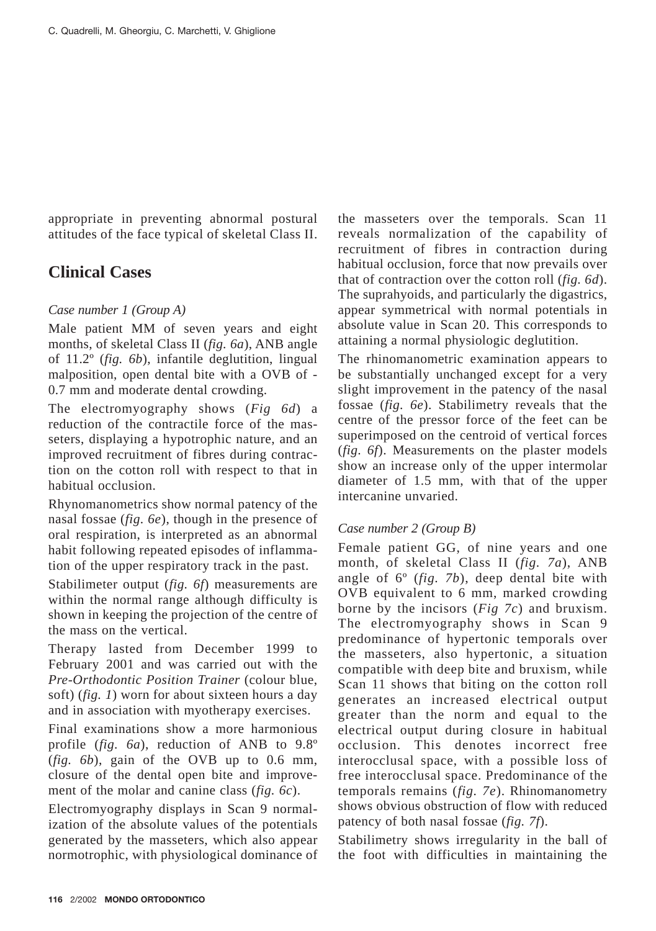appropriate in preventing abnormal postural attitudes of the face typical of skeletal Class II.

## **Clinical Cases**

## *Case number 1 (Group A)*

Male patient MM of seven years and eight months, of skeletal Class II (*fig. 6a*), ANB angle of 11.2º (*fig. 6b*), infantile deglutition, lingual malposition, open dental bite with a OVB of - 0.7 mm and moderate dental crowding.

The electromyography shows (*Fig 6d*) a reduction of the contractile force of the masseters, displaying a hypotrophic nature, and an improved recruitment of fibres during contraction on the cotton roll with respect to that in habitual occlusion.

Rhynomanometrics show normal patency of the nasal fossae (*fig. 6e*), though in the presence of oral respiration, is interpreted as an abnormal habit following repeated episodes of inflammation of the upper respiratory track in the past.

Stabilimeter output (*fig. 6f*) measurements are within the normal range although difficulty is shown in keeping the projection of the centre of the mass on the vertical.

Therapy lasted from December 1999 to February 2001 and was carried out with the *Pre-Orthodontic Position Trainer* (colour blue, soft) (*fig. 1*) worn for about sixteen hours a day and in association with myotherapy exercises.

Final examinations show a more harmonious profile (*fig. 6a*), reduction of ANB to 9.8º (*fig. 6b*), gain of the OVB up to 0.6 mm, closure of the dental open bite and improvement of the molar and canine class (*fig. 6c*).

Electromyography displays in Scan 9 normalization of the absolute values of the potentials generated by the masseters, which also appear normotrophic, with physiological dominance of the masseters over the temporals. Scan 11 reveals normalization of the capability of recruitment of fibres in contraction during habitual occlusion, force that now prevails over that of contraction over the cotton roll (*fig. 6d*). The suprahyoids, and particularly the digastrics, appear symmetrical with normal potentials in absolute value in Scan 20. This corresponds to attaining a normal physiologic deglutition.

The rhinomanometric examination appears to be substantially unchanged except for a very slight improvement in the patency of the nasal fossae (*fig. 6e*). Stabilimetry reveals that the centre of the pressor force of the feet can be superimposed on the centroid of vertical forces (*fig. 6f*). Measurements on the plaster models show an increase only of the upper intermolar diameter of 1.5 mm, with that of the upper intercanine unvaried.

## *Case number 2 (Group B)*

Female patient GG, of nine years and one month, of skeletal Class II (*fig. 7a*), ANB angle of 6º (*fig. 7b*), deep dental bite with OVB equivalent to 6 mm, marked crowding borne by the incisors (*Fig 7c*) and bruxism. The electromyography shows in Scan 9 predominance of hypertonic temporals over the masseters, also hypertonic, a situation compatible with deep bite and bruxism, while Scan 11 shows that biting on the cotton roll generates an increased electrical output greater than the norm and equal to the electrical output during closure in habitual occlusion. This denotes incorrect free interocclusal space, with a possible loss of free interocclusal space. Predominance of the temporals remains (*fig. 7e*). Rhinomanometry shows obvious obstruction of flow with reduced patency of both nasal fossae (*fig. 7f*).

Stabilimetry shows irregularity in the ball of the foot with difficulties in maintaining the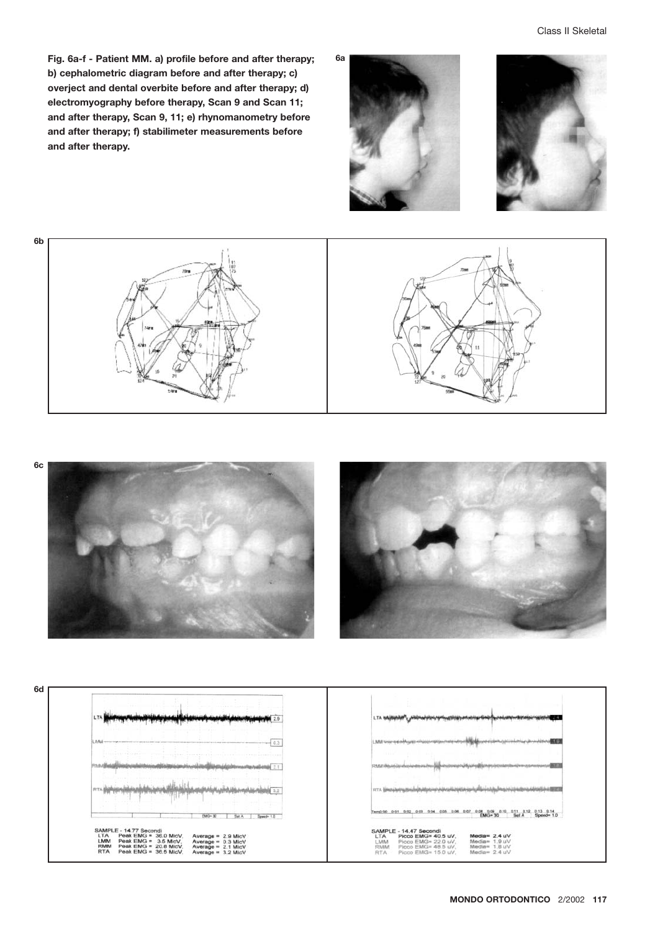**Fig. 6a-f - Patient MM. a) profile before and after therapy; b) cephalometric diagram before and after therapy; c) overject and dental overbite before and after therapy; d) electromyography before therapy, Scan 9 and Scan 11; and after therapy, Scan 9, 11; e) rhynomanometry before and after therapy; f) stabilimeter measurements before and after therapy.**







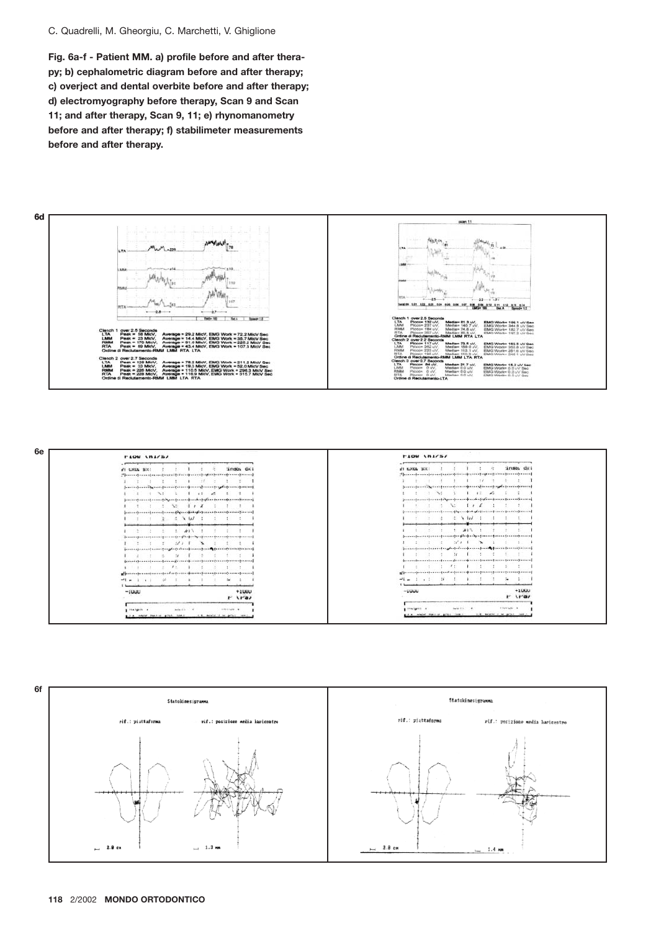#### C. Quadrelli, M. Gheorgiu, C. Marchetti, V. Ghiglione

**Fig. 6a-f - Patient MM. a) profile before and after therapy; b) cephalometric diagram before and after therapy; c) overject and dental overbite before and after therapy; d) electromyography before therapy, Scan 9 and Scan 11; and after therapy, Scan 9, 11; e) rhynomanometry before and after therapy; f) stabilimeter measurements before and after therapy.**





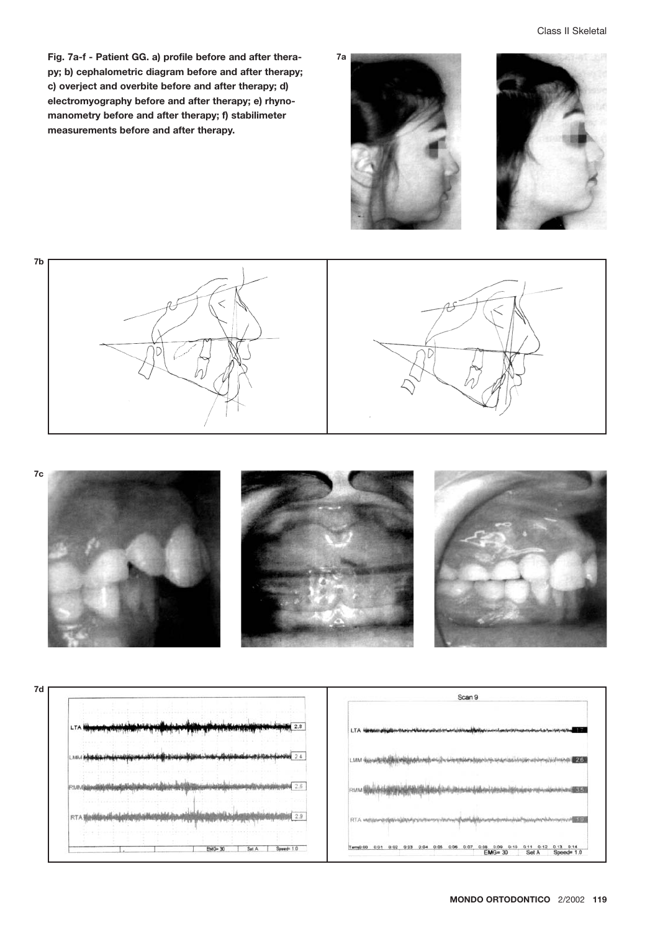**Fig. 7a-f - Patient GG. a) profile before and after therapy; b) cephalometric diagram before and after therapy; c) overject and overbite before and after therapy; d) electromyography before and after therapy; e) rhynomanometry before and after therapy; f) stabilimeter measurements before and after therapy.**







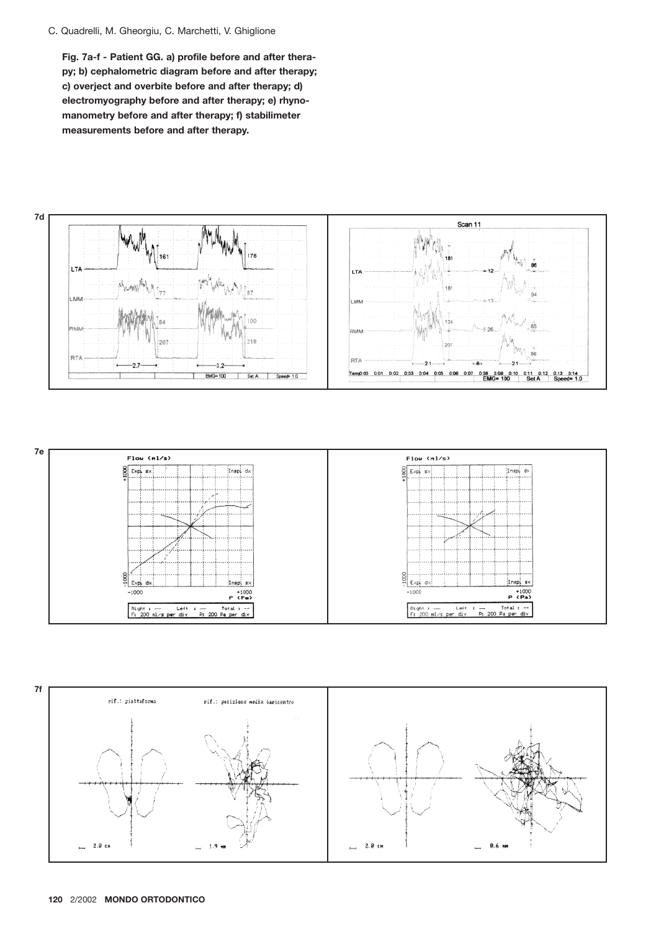#### C. Quadrelli, M. Gheorgiu, C. Marchetti, V. Ghiglione

**Fig. 7a-f - Patient GG. a) profile before and after therapy; b) cephalometric diagram before and after therapy; c) overject and overbite before and after therapy; d) electromyography before and after therapy; e) rhynomanometry before and after therapy; f) stabilimeter measurements before and after therapy.**





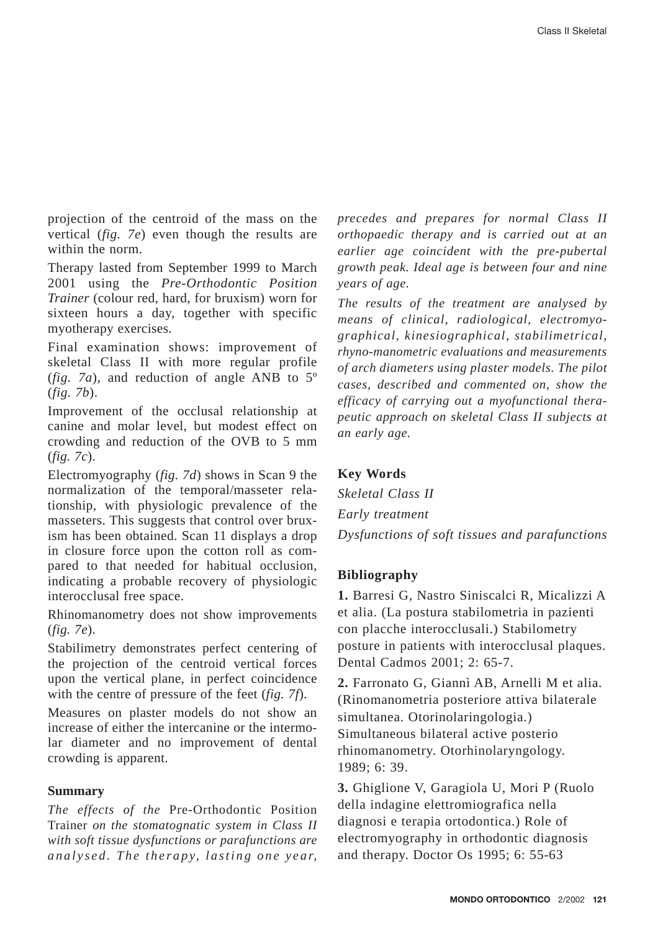projection of the centroid of the mass on the vertical (*fig. 7e*) even though the results are within the norm.

Therapy lasted from September 1999 to March 2001 using the *Pre-Orthodontic Position Trainer* (colour red, hard, for bruxism) worn for sixteen hours a day, together with specific myotherapy exercises.

Final examination shows: improvement of skeletal Class II with more regular profile (*fig. 7a*), and reduction of angle ANB to 5º (*fig. 7b*).

Improvement of the occlusal relationship at canine and molar level, but modest effect on crowding and reduction of the OVB to 5 mm (*fig. 7c*).

Electromyography (*fig. 7d*) shows in Scan 9 the normalization of the temporal/masseter relationship, with physiologic prevalence of the masseters. This suggests that control over bruxism has been obtained. Scan 11 displays a drop in closure force upon the cotton roll as compared to that needed for habitual occlusion, indicating a probable recovery of physiologic interocclusal free space.

Rhinomanometry does not show improvements (*fig. 7e*).

Stabilimetry demonstrates perfect centering of the projection of the centroid vertical forces upon the vertical plane, in perfect coincidence with the centre of pressure of the feet (*fig. 7f*).

Measures on plaster models do not show an increase of either the intercanine or the intermolar diameter and no improvement of dental crowding is apparent.

## **Summary**

*The effects of the* Pre-Orthodontic Position Trainer *on the stomatognatic system in Class II with soft tissue dysfunctions or parafunctions are analysed. The therapy, lasting one year,*

*precedes and prepares for normal Class II orthopaedic therapy and is carried out at an earlier age coincident with the pre-pubertal growth peak. Ideal age is between four and nine years of age.*

*The results of the treatment are analysed by means of clinical, radiological, electromyographical, kinesiographical, stabilimetrical, rhyno-manometric evaluations and measurements of arch diameters using plaster models. The pilot cases, described and commented on, show the efficacy of carrying out a myofunctional therapeutic approach on skeletal Class II subjects at an early age.*

#### **Key Words**

*Skeletal Class II Early treatment Dysfunctions of soft tissues and parafunctions*

#### **Bibliography**

**1.** Barresi G, Nastro Siniscalci R, Micalizzi A et alia. (La postura stabilometria in pazienti con placche interocclusali.) Stabilometry posture in patients with interocclusal plaques. Dental Cadmos 2001; 2: 65-7.

**2.** Farronato G, Giannì AB, Arnelli M et alia. (Rinomanometria posteriore attiva bilaterale simultanea. Otorinolaringologia.) Simultaneous bilateral active posterio rhinomanometry. Otorhinolaryngology. 1989; 6: 39.

**3.** Ghiglione V, Garagiola U, Mori P (Ruolo della indagine elettromiografica nella diagnosi e terapia ortodontica.) Role of electromyography in orthodontic diagnosis and therapy. Doctor Os 1995; 6: 55-63